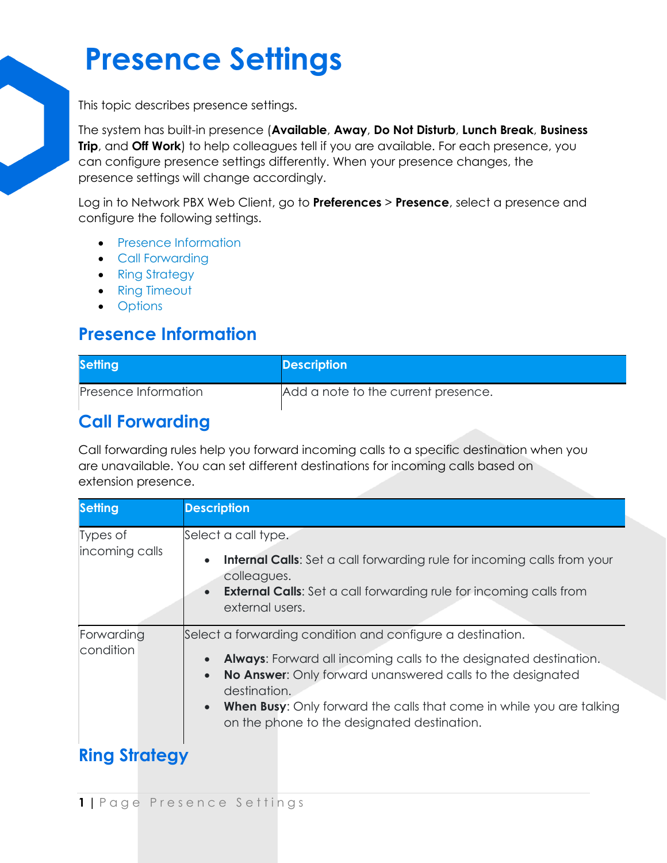# **Presence Settings**

This topic describes presence settings.

The system has built-in presence (**Available**, **Away**, **Do Not Disturb**, **Lunch Break**, **Business Trip**, and **Off Work**) to help colleagues tell if you are available. For each presence, you can configure presence settings differently. When your presence changes, the presence settings will change accordingly.

Log in to Network PBX Web Client, go to **Preferences** > **Presence**, select a presence and configure the following settings.

- [Presence Information](https://help.yeastar.com/en/p-series-cloud-edition/web-client-user-guide/presence-settings.html#configure-presence-settings__section_s5r_y1j_ymb)
- [Call Forwarding](https://help.yeastar.com/en/p-series-cloud-edition/web-client-user-guide/presence-settings.html#configure-presence-settings__section_zgy_cbj_ymb)
- [Ring Strategy](https://help.yeastar.com/en/p-series-cloud-edition/web-client-user-guide/presence-settings.html#configure-presence-settings__section_dyj_lbj_ymb)
- [Ring Timeout](https://help.yeastar.com/en/p-series-cloud-edition/web-client-user-guide/presence-settings.html#configure-presence-settings__section_ur5_qbj_ymb)
- [Options](https://help.yeastar.com/en/p-series-cloud-edition/web-client-user-guide/presence-settings.html#configure-presence-settings__section_a1h_lld_34b)

#### **Presence Information**

| <b>Setting</b>       | <b>Description</b>                  |
|----------------------|-------------------------------------|
| Presence Information | Add a note to the current presence. |

### **Call Forwarding**

Call forwarding rules help you forward incoming calls to a specific destination when you are unavailable. You can set different destinations for incoming calls based on extension presence.

| <b>Setting</b>             | <b>Description</b>                                                                                                                                                                                                                                                                                                                                                                 |
|----------------------------|------------------------------------------------------------------------------------------------------------------------------------------------------------------------------------------------------------------------------------------------------------------------------------------------------------------------------------------------------------------------------------|
| Types of<br>incoming calls | Select a call type.<br><b>Internal Calls:</b> Set a call forwarding rule for incoming calls from your<br>$\bullet$<br>colleagues.<br><b>External Calls:</b> Set a call forwarding rule for incoming calls from<br>$\bullet$<br>external users.                                                                                                                                     |
| Forwarding<br>condition    | Select a forwarding condition and configure a destination.<br>Always: Forward all incoming calls to the designated destination.<br>$\bullet$<br>No Answer: Only forward unanswered calls to the designated<br>$\bullet$<br>destination.<br><b>When Busy:</b> Only forward the calls that come in while you are talking<br>$\bullet$<br>on the phone to the designated destination. |
| <b>Ring Strategy</b>       |                                                                                                                                                                                                                                                                                                                                                                                    |

## **1 |** P a g e P r e s e n c e S e t t i n g s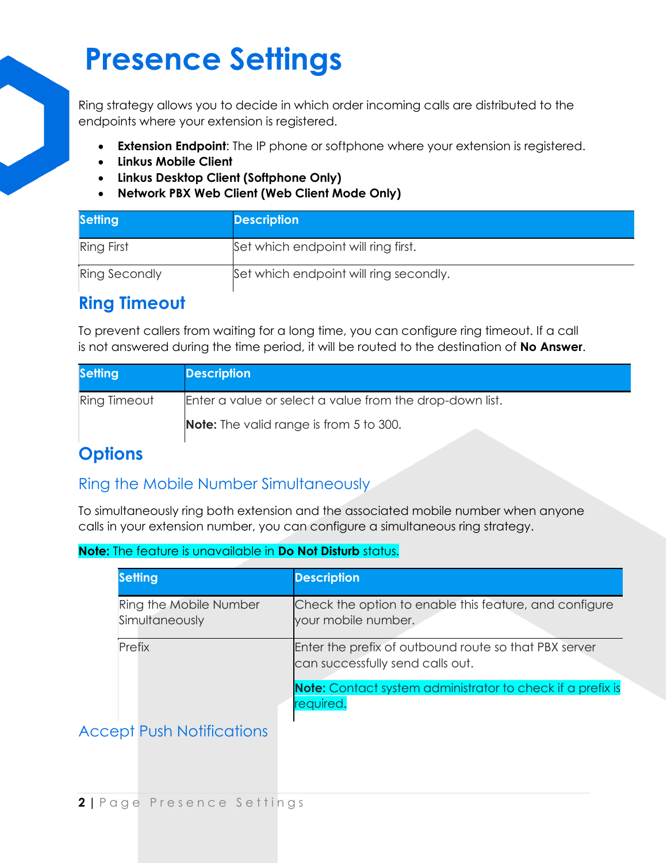# **Presence Settings**

Ring strategy allows you to decide in which order incoming calls are distributed to the endpoints where your extension is registered.

- **Extension Endpoint**: The IP phone or softphone where your extension is registered.
- **Linkus Mobile Client**
- **Linkus Desktop Client (Softphone Only)**
- **Network PBX Web Client (Web Client Mode Only)**

| <b>Setting</b>       | <b>Description</b>                     |
|----------------------|----------------------------------------|
| <b>Ring First</b>    | Set which endpoint will ring first.    |
| <b>Ring Secondly</b> | Set which endpoint will ring secondly. |

## **Ring Timeout**

To prevent callers from waiting for a long time, you can configure ring timeout. If a call is not answered during the time period, it will be routed to the destination of **No Answer**.

| <b>Setting</b> | <b>Description</b>                                       |
|----------------|----------------------------------------------------------|
| Ring Timeout   | Enter a value or select a value from the drop-down list. |
|                | <b>Note:</b> The valid range is from 5 to 300.           |

## **Options**

#### Ring the Mobile Number Simultaneously

To simultaneously ring both extension and the associated mobile number when anyone calls in your extension number, you can configure a simultaneous ring strategy.

| <b>Note:</b> The feature is unavailable in <b>Do Not Disturb</b> status. |
|--------------------------------------------------------------------------|
|--------------------------------------------------------------------------|

| <b>Setting</b>                           | <b>Description</b>                                                                        |
|------------------------------------------|-------------------------------------------------------------------------------------------|
| Ring the Mobile Number<br>Simultaneously | Check the option to enable this feature, and configure<br>your mobile number.             |
| Prefix                                   | Enter the prefix of outbound route so that PBX server<br>can successfully send calls out. |
|                                          | <b>Note:</b> Contact system administrator to check if a prefix is<br>required.            |

#### Accept Push Notifications